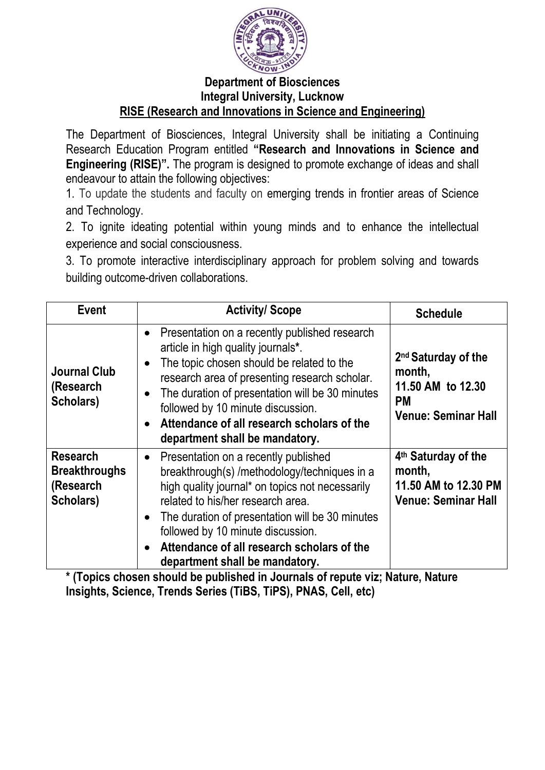

## **Department of Biosciences Integral University, Lucknow RISE (Research and Innovations in Science and Engineering)**

The Department of Biosciences, Integral University shall be initiating a Continuing Research Education Program entitled **"Research and Innovations in Science and Engineering (RISE)".** The program is designed to promote exchange of ideas and shall endeavour to attain the following objectives:

1. To update the students and faculty on emerging trends in frontier areas of Science and Technology.

2. To ignite ideating potential within young minds and to enhance the intellectual experience and social consciousness.

3. To promote interactive interdisciplinary approach for problem solving and towards building outcome-driven collaborations.

| <b>Event</b>                                                      | <b>Activity/Scope</b>                                                                                                                                                                                                                                                                                                                                                                                         | <b>Schedule</b>                                                                                           |
|-------------------------------------------------------------------|---------------------------------------------------------------------------------------------------------------------------------------------------------------------------------------------------------------------------------------------------------------------------------------------------------------------------------------------------------------------------------------------------------------|-----------------------------------------------------------------------------------------------------------|
| <b>Journal Club</b><br>(Research<br>Scholars)                     | Presentation on a recently published research<br>$\bullet$<br>article in high quality journals*.<br>The topic chosen should be related to the<br>$\bullet$<br>research area of presenting research scholar.<br>The duration of presentation will be 30 minutes<br>$\bullet$<br>followed by 10 minute discussion.<br>Attendance of all research scholars of the<br>$\bullet$<br>department shall be mandatory. | 2 <sup>nd</sup> Saturday of the<br>month,<br>11.50 AM to 12.30<br><b>PM</b><br><b>Venue: Seminar Hall</b> |
| <b>Research</b><br><b>Breakthroughs</b><br>(Research<br>Scholars) | Presentation on a recently published<br>$\bullet$<br>breakthrough(s) /methodology/techniques in a<br>high quality journal* on topics not necessarily<br>related to his/her research area.<br>The duration of presentation will be 30 minutes<br>$\bullet$<br>followed by 10 minute discussion.<br>Attendance of all research scholars of the<br>$\bullet$<br>department shall be mandatory.                   | 4 <sup>th</sup> Saturday of the<br>month,<br>11.50 AM to 12.30 PM<br><b>Venue: Seminar Hall</b>           |

**\* (Topics chosen should be published in Journals of repute viz; Nature, Nature Insights, Science, Trends Series (TiBS, TiPS), PNAS, Cell, etc)**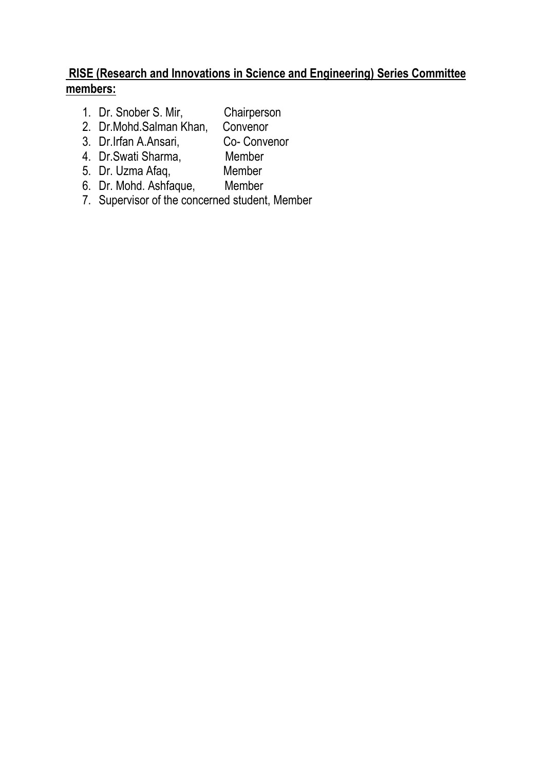## **RISE (Research and Innovations in Science and Engineering) Series Committee members:**

- 1. Dr. Snober S. Mir, Chairperson<br>2. Dr.Mohd.Salman Khan. Convenor
- 2. Dr.Mohd.Salman Khan,
- 3. Dr.Irfan A.Ansari, Co- Convenor
- 4. Dr. Swati Sharma, Member
- 5. Dr. Uzma Afaq, Member
- 6. Dr. Mohd. Ashfaque, Member
- 7. Supervisor of the concerned student, Member